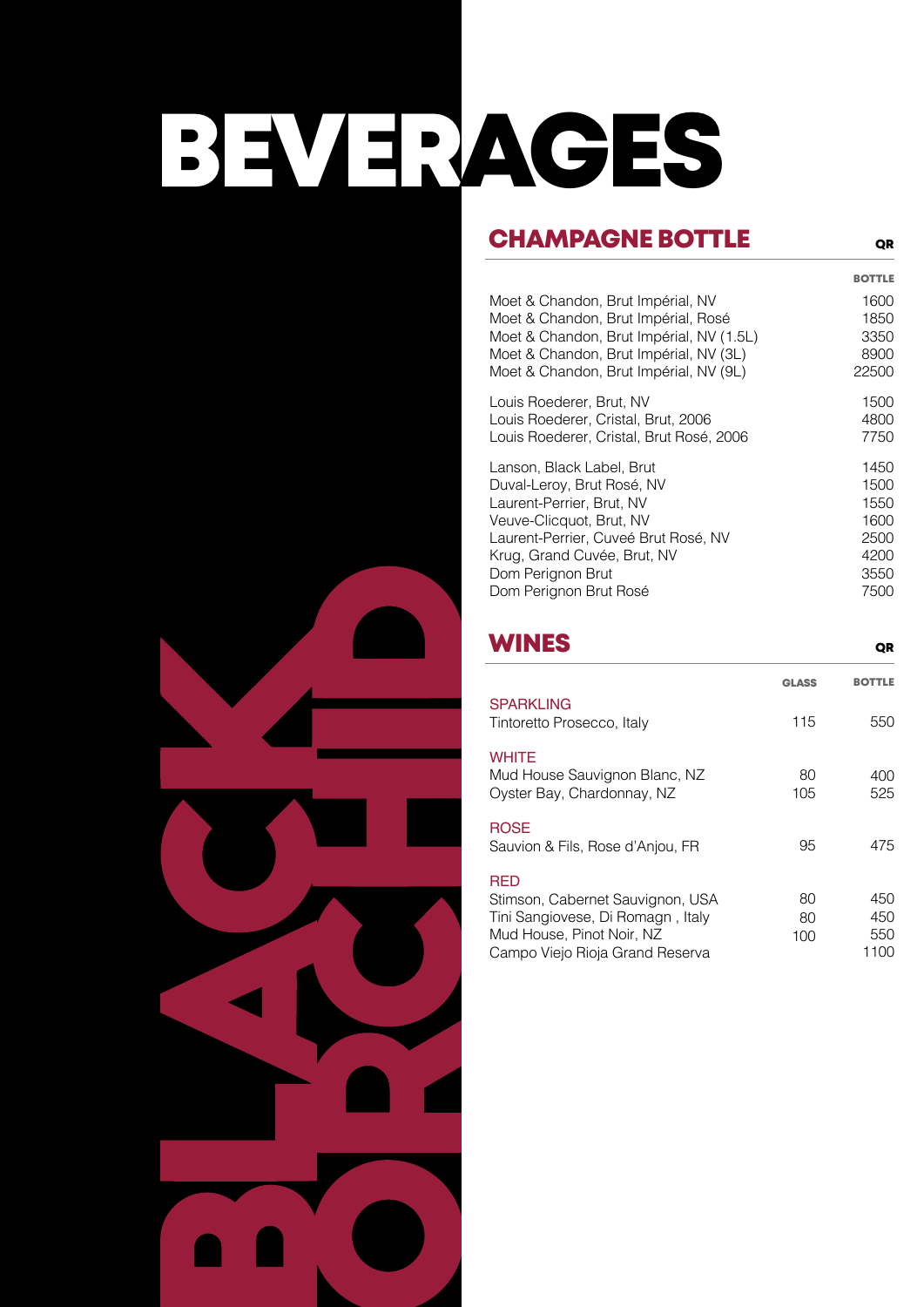# BEVERAGES

## CHAMPAGNE BOTTLE

BOTTLE

QR

| Moet & Chandon, Brut Impérial, NV<br>Moet & Chandon, Brut Impérial, Rosé<br>Moet & Chandon, Brut Impérial, NV (1.5L)<br>Moet & Chandon, Brut Impérial, NV (3L)<br>Moet & Chandon, Brut Impérial, NV (9L)                               |              | 1600<br>1850<br>3350<br>8900<br>22500                        |
|----------------------------------------------------------------------------------------------------------------------------------------------------------------------------------------------------------------------------------------|--------------|--------------------------------------------------------------|
| Louis Roederer, Brut, NV<br>Louis Roederer, Cristal, Brut, 2006<br>Louis Roederer, Cristal, Brut Rosé, 2006                                                                                                                            |              | 1500<br>4800<br>7750                                         |
| Lanson, Black Label, Brut<br>Duval-Leroy, Brut Rosé, NV<br>Laurent-Perrier, Brut, NV<br>Veuve-Clicquot, Brut, NV<br>Laurent-Perrier, Cuveé Brut Rosé, NV<br>Krug, Grand Cuvée, Brut, NV<br>Dom Perignon Brut<br>Dom Perignon Brut Rosé |              | 1450<br>1500<br>1550<br>1600<br>2500<br>4200<br>3550<br>7500 |
| <b>WINES</b>                                                                                                                                                                                                                           |              | QR                                                           |
|                                                                                                                                                                                                                                        | <b>GLASS</b> | <b>BOTTLE</b>                                                |
| <b>SPARKLING</b><br>Tintoretto Prosecco, Italy                                                                                                                                                                                         | 115          | 550                                                          |
| <b>WHITE</b>                                                                                                                                                                                                                           |              |                                                              |
| Mud House Sauvignon Blanc, NZ<br>Oyster Bay, Chardonnay, NZ                                                                                                                                                                            | 80<br>105    | 400<br>525                                                   |
| <b>ROSE</b>                                                                                                                                                                                                                            |              |                                                              |
| Sauvion & Fils, Rose d'Anjou, FR                                                                                                                                                                                                       | 95           | 475                                                          |
| <b>RED</b>                                                                                                                                                                                                                             |              |                                                              |
| Stimson, Cabernet Sauvignon, USA<br>Tini Sangiovese, Di Romagn, Italy                                                                                                                                                                  | 80<br>80     | 450<br>450                                                   |
| Mud House, Pinot Noir, NZ<br>Campo Viejo Rioja Grand Reserva                                                                                                                                                                           | 100          | 550<br>1100                                                  |
|                                                                                                                                                                                                                                        |              |                                                              |
|                                                                                                                                                                                                                                        |              |                                                              |
|                                                                                                                                                                                                                                        |              |                                                              |
|                                                                                                                                                                                                                                        |              |                                                              |
|                                                                                                                                                                                                                                        |              |                                                              |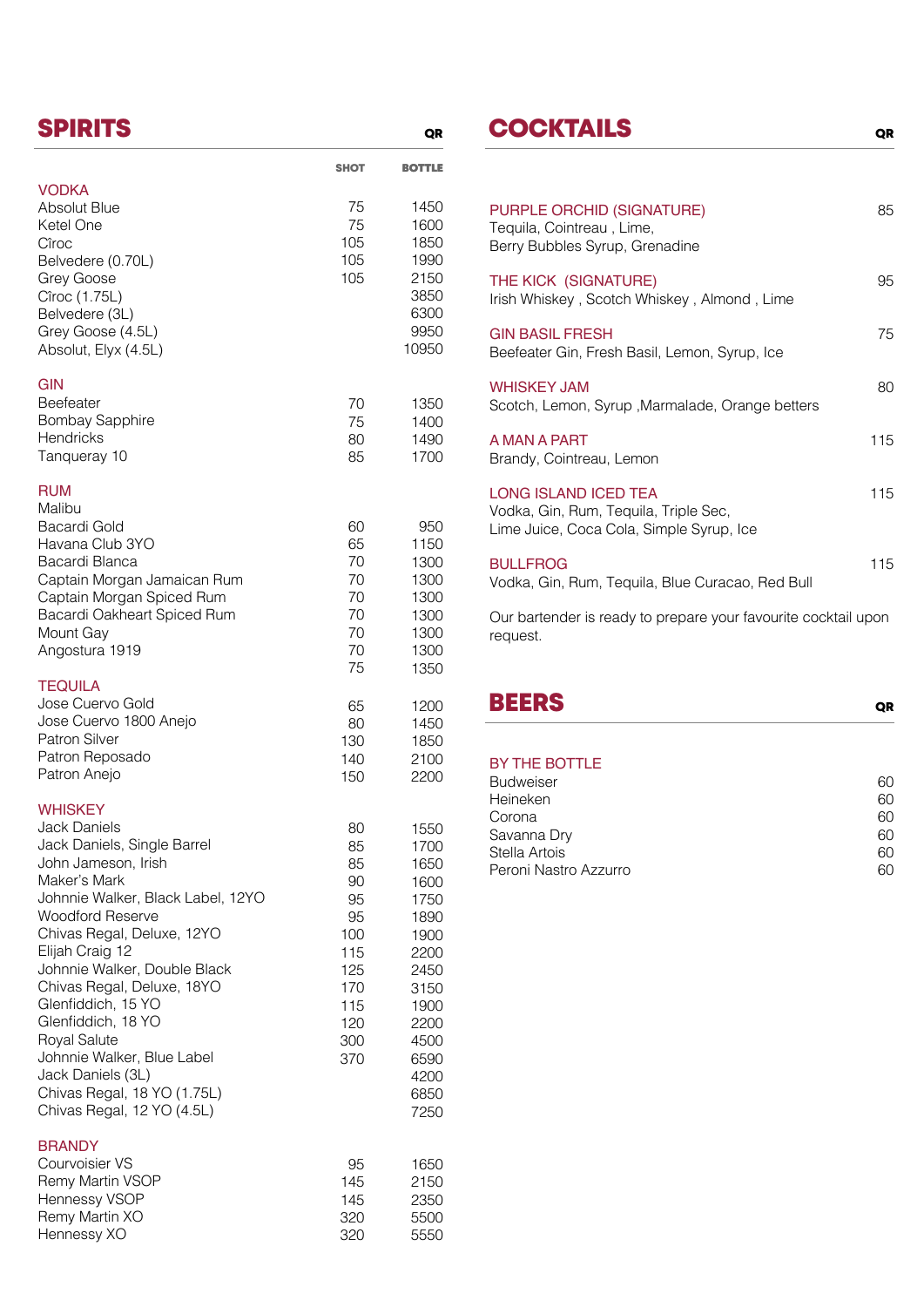|                                                                                                                                                                                                                                                                                                                                                                                                                                                                        | <b>SHOT</b>                                                                              | <b>BOTTLE</b>                                                                                                                        |
|------------------------------------------------------------------------------------------------------------------------------------------------------------------------------------------------------------------------------------------------------------------------------------------------------------------------------------------------------------------------------------------------------------------------------------------------------------------------|------------------------------------------------------------------------------------------|--------------------------------------------------------------------------------------------------------------------------------------|
| <b>VODKA</b><br><b>Absolut Blue</b><br>Ketel One<br>Cîroc<br>Belvedere (0.70L)<br>Grey Goose<br>Cîroc (1.75L)<br>Belvedere (3L)<br>Grey Goose (4.5L)<br>Absolut, Elyx (4.5L)                                                                                                                                                                                                                                                                                           | 75<br>75<br>105<br>105<br>105                                                            | 1450<br>1600<br>1850<br>1990<br>2150<br>3850<br>6300<br>9950<br>10950                                                                |
| GIN<br>Beefeater<br><b>Bombay Sapphire</b><br><b>Hendricks</b><br>Tanqueray 10                                                                                                                                                                                                                                                                                                                                                                                         | 70<br>75<br>80<br>85                                                                     | 1350<br>1400<br>1490<br>1700                                                                                                         |
| <b>RUM</b><br>Malibu<br>Bacardi Gold<br>Havana Club 3YO<br>Bacardi Blanca<br>Captain Morgan Jamaican Rum<br>Captain Morgan Spiced Rum<br>Bacardi Oakheart Spiced Rum<br>Mount Gay<br>Angostura 1919                                                                                                                                                                                                                                                                    | 60<br>65<br>70<br>70<br>70<br>70<br>70<br>70<br>75                                       | 950<br>1150<br>1300<br>1300<br>1300<br>1300<br>1300<br>1300<br>1350                                                                  |
| <b>TEQUILA</b><br>Jose Cuervo Gold<br>Jose Cuervo 1800 Anejo<br>Patron Silver<br>Patron Reposado<br>Patron Anejo                                                                                                                                                                                                                                                                                                                                                       | 65<br>80<br>130<br>140<br>150                                                            | 1200<br>1450<br>1850<br>2100<br>2200                                                                                                 |
| <b>WHISKEY</b><br><b>Jack Daniels</b><br>Jack Daniels, Single Barrel<br>John Jameson, Irish<br>Maker's Mark<br>Johnnie Walker, Black Label, 12YO<br><b>Woodford Reserve</b><br>Chivas Regal, Deluxe, 12YO<br>Elijah Craig 12<br>Johnnie Walker, Double Black<br>Chivas Regal, Deluxe, 18YO<br>Glenfiddich, 15 YO<br>Glenfiddich, 18 YO<br>Royal Salute<br>Johnnie Walker, Blue Label<br>Jack Daniels (3L)<br>Chivas Regal, 18 YO (1.75L)<br>Chivas Regal, 12 YO (4.5L) | 80<br>85<br>85<br>90<br>95<br>95<br>100<br>115<br>125<br>170<br>115<br>120<br>300<br>370 | 1550<br>1700<br>1650<br>1600<br>1750<br>1890<br>1900<br>2200<br>2450<br>3150<br>1900<br>2200<br>4500<br>6590<br>4200<br>6850<br>7250 |
| <b>BRANDY</b><br>Courvoisier VS<br>Remy Martin VSOP<br>Hennessy VSOP<br>Remy Martin XO<br>Hennessy XO                                                                                                                                                                                                                                                                                                                                                                  | 95<br>145<br>145<br>320<br>320                                                           | 1650<br>2150<br>2350<br>5500<br>5550                                                                                                 |

## SPIRITS GREAT COCKTAILS GREAT CONSTRUCTION OF A GREAT COCKTAILS

QR

| PURPLE ORCHID (SIGNATURE)<br>Tequila, Cointreau, Lime,<br>Berry Bubbles Syrup, Grenadine                         | 85  |  |
|------------------------------------------------------------------------------------------------------------------|-----|--|
| THE KICK (SIGNATURE)<br>Irish Whiskey, Scotch Whiskey, Almond, Lime                                              | 95  |  |
| <b>GIN BASIL FRESH</b><br>Beefeater Gin, Fresh Basil, Lemon, Syrup, Ice                                          | 75  |  |
| <b>WHISKEY JAM</b><br>Scotch, Lemon, Syrup, Marmalade, Orange betters                                            | 80  |  |
| A MAN A PART<br>Brandy, Cointreau, Lemon                                                                         | 115 |  |
| <b>LONG ISLAND ICED TEA</b><br>Vodka, Gin, Rum, Tequila, Triple Sec,<br>Lime Juice, Coca Cola, Simple Syrup, Ice | 115 |  |
| <b>BULLFROG</b><br>Vodka, Gin, Rum, Tequila, Blue Curacao, Red Bull                                              | 115 |  |
| Our bortonder is ready to prepare your founding apoliteil upon                                                   |     |  |

Our bartender is ready to prepare your favourite cocktail upon request.

| <b>BEERS</b> |  |  |
|--------------|--|--|
|              |  |  |

### BY THE BOTTLE

| 60 |
|----|
| 60 |
| 60 |
| 60 |
| 60 |
| 60 |
|    |